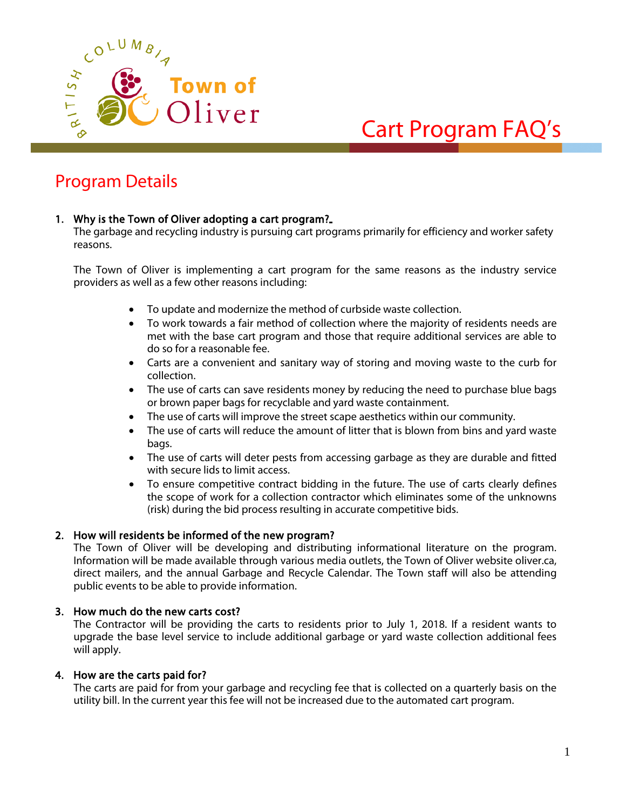

# Cart Program FAQ's

## Program Details

#### 1. Why is the Town of Oliver adopting a cart program?

The garbage and recycling industry is pursuing cart programs primarily for efficiency and worker safety reasons.

The Town of Oliver is implementing a cart program for the same reasons as the industry service providers as well as a few other reasons including:

- To update and modernize the method of curbside waste collection.
- To work towards a fair method of collection where the majority of residents needs are met with the base cart program and those that require additional services are able to do so for a reasonable fee.
- Carts are a convenient and sanitary way of storing and moving waste to the curb for collection.
- The use of carts can save residents money by reducing the need to purchase blue bags or brown paper bags for recyclable and yard waste containment.
- The use of carts will improve the street scape aesthetics within our community.
- The use of carts will reduce the amount of litter that is blown from bins and yard waste bags.
- The use of carts will deter pests from accessing garbage as they are durable and fitted with secure lids to limit access.
- To ensure competitive contract bidding in the future. The use of carts clearly defines the scope of work for a collection contractor which eliminates some of the unknowns (risk) during the bid process resulting in accurate competitive bids.

#### 2. How will residents be informed of the new program?

The Town of Oliver will be developing and distributing informational literature on the program. Information will be made available through various media outlets, the Town of Oliver website oliver.ca, direct mailers, and the annual Garbage and Recycle Calendar. The Town staff will also be attending public events to be able to provide information.

#### 3. How much do the new carts cost?

The Contractor will be providing the carts to residents prior to July 1, 2018. If a resident wants to upgrade the base level service to include additional garbage or yard waste collection additional fees will apply.

#### 4. How are the carts paid for?

The carts are paid for from your garbage and recycling fee that is collected on a quarterly basis on the utility bill. In the current year this fee will not be increased due to the automated cart program.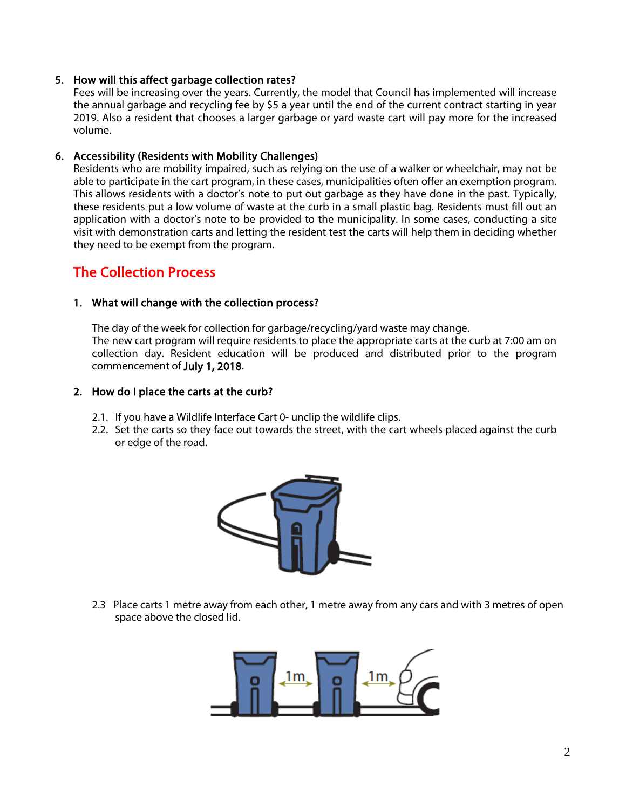#### 5. How will this affect garbage collection rates?

Fees will be increasing over the years. Currently, the model that Council has implemented will increase the annual garbage and recycling fee by \$5 a year until the end of the current contract starting in year 2019. Also a resident that chooses a larger garbage or yard waste cart will pay more for the increased volume.

#### 6. Accessibility (Residents with Mobility Challenges)

Residents who are mobility impaired, such as relying on the use of a walker or wheelchair, may not be able to participate in the cart program, in these cases, municipalities often offer an exemption program. This allows residents with a doctor's note to put out garbage as they have done in the past. Typically, these residents put a low volume of waste at the curb in a small plastic bag. Residents must fill out an application with a doctor's note to be provided to the municipality. In some cases, conducting a site visit with demonstration carts and letting the resident test the carts will help them in deciding whether they need to be exempt from the program.

### The Collection Process

#### 1. What will change with the collection process?

The day of the week for collection for garbage/recycling/yard waste may change. The new cart program will require residents to place the appropriate carts at the curb at 7:00 am on collection day. Resident education will be produced and distributed prior to the program commencement of July 1, 2018.

#### 2. How do I place the carts at the curb?

- 2.1. If you have a Wildlife Interface Cart 0- unclip the wildlife clips.
- 2.2. Set the carts so they face out towards the street, with the cart wheels placed against the curb or edge of the road.



2.3 Place carts 1 metre away from each other, 1 metre away from any cars and with 3 metres of open space above the closed lid.

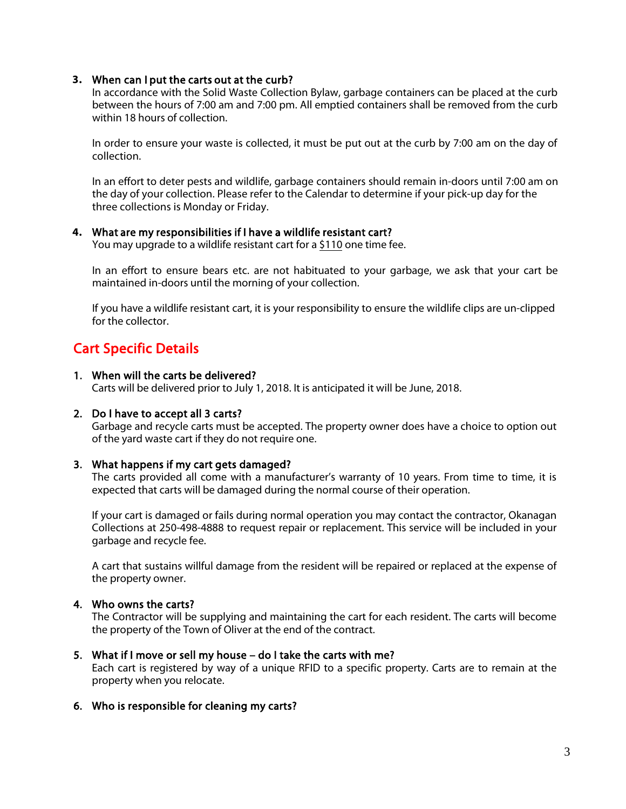#### **3.** When can I put the carts out at the curb?

In accordance with the Solid Waste Collection Bylaw, garbage containers can be placed at the curb between the hours of 7:00 am and 7:00 pm. All emptied containers shall be removed from the curb within 18 hours of collection.

In order to ensure your waste is collected, it must be put out at the curb by 7:00 am on the day of collection.

In an effort to deter pests and wildlife, garbage containers should remain in-doors until 7:00 am on the day of your collection. Please refer to the Calendar to determine if your pick-up day for the three collections is Monday or Friday.

#### **4.** What are my responsibilities if I have a wildlife resistant cart?

You may upgrade to a wildlife resistant cart for a \$110 one time fee.

In an effort to ensure bears etc. are not habituated to your garbage, we ask that your cart be maintained in-doors until the morning of your collection.

If you have a wildlife resistant cart, it is your responsibility to ensure the wildlife clips are un-clipped for the collector.

## Cart Specific Details

#### 1. When will the carts be delivered?

Carts will be delivered prior to July 1, 2018. It is anticipated it will be June, 2018.

#### 2. Do I have to accept all 3 carts?

Garbage and recycle carts must be accepted. The property owner does have a choice to option out of the yard waste cart if they do not require one.

#### 3. What happens if my cart gets damaged?

The carts provided all come with a manufacturer's warranty of 10 years. From time to time, it is expected that carts will be damaged during the normal course of their operation.

If your cart is damaged or fails during normal operation you may contact the contractor, Okanagan Collections at 250-498-4888 to request repair or replacement. This service will be included in your garbage and recycle fee.

A cart that sustains willful damage from the resident will be repaired or replaced at the expense of the property owner.

#### 4. Who owns the carts?

The Contractor will be supplying and maintaining the cart for each resident. The carts will become the property of the Town of Oliver at the end of the contract.

#### 5. What if I move or sell my house – do I take the carts with me?

Each cart is registered by way of a unique RFID to a specific property. Carts are to remain at the property when you relocate.

#### 6. Who is responsible for cleaning my carts?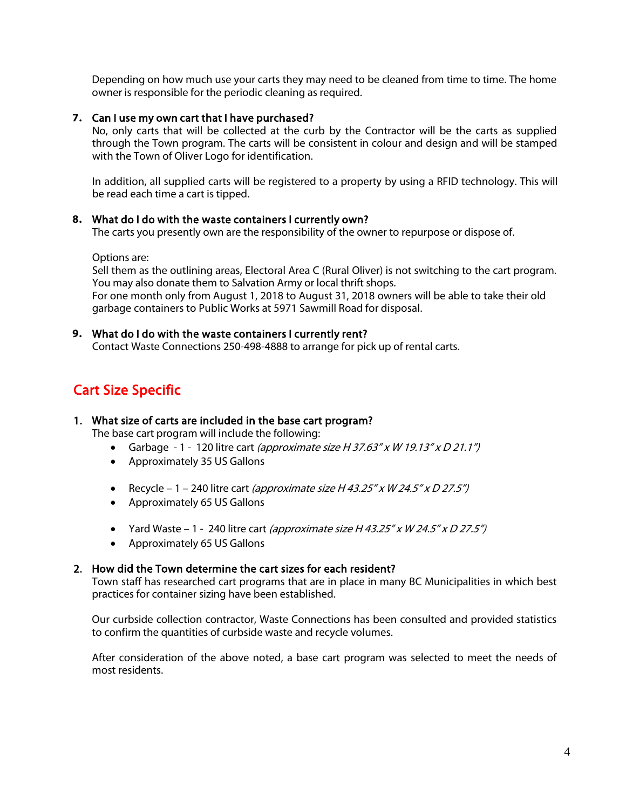Depending on how much use your carts they may need to be cleaned from time to time. The home owner is responsible for the periodic cleaning as required.

#### **7.** Can I use my own cart that I have purchased?

No, only carts that will be collected at the curb by the Contractor will be the carts as supplied through the Town program. The carts will be consistent in colour and design and will be stamped with the Town of Oliver Logo for identification.

In addition, all supplied carts will be registered to a property by using a RFID technology. This will be read each time a cart is tipped.

#### **8.** What do I do with the waste containers I currently own?

The carts you presently own are the responsibility of the owner to repurpose or dispose of.

Options are:

Sell them as the outlining areas, Electoral Area C (Rural Oliver) is not switching to the cart program. You may also donate them to Salvation Army or local thrift shops. For one month only from August 1, 2018 to August 31, 2018 owners will be able to take their old garbage containers to Public Works at 5971 Sawmill Road for disposal.

#### **9.** What do I do with the waste containers I currently rent?

Contact Waste Connections 250-498-4888 to arrange for pick up of rental carts.

## Cart Size Specific

#### 1. What size of carts are included in the base cart program?

The base cart program will include the following:

- Garbage 1 120 litre cart (approximate size H 37.63" x W 19.13" x D 21.1")
- Approximately 35 US Gallons
- Recycle 1 240 litre cart (approximate size H 43.25" x W 24.5" x D 27.5")
- Approximately 65 US Gallons
- Yard Waste 1 240 litre cart (approximate size H 43.25" x W 24.5" x D 27.5")
- Approximately 65 US Gallons

#### 2. How did the Town determine the cart sizes for each resident?

Town staff has researched cart programs that are in place in many BC Municipalities in which best practices for container sizing have been established.

Our curbside collection contractor, Waste Connections has been consulted and provided statistics to confirm the quantities of curbside waste and recycle volumes.

After consideration of the above noted, a base cart program was selected to meet the needs of most residents.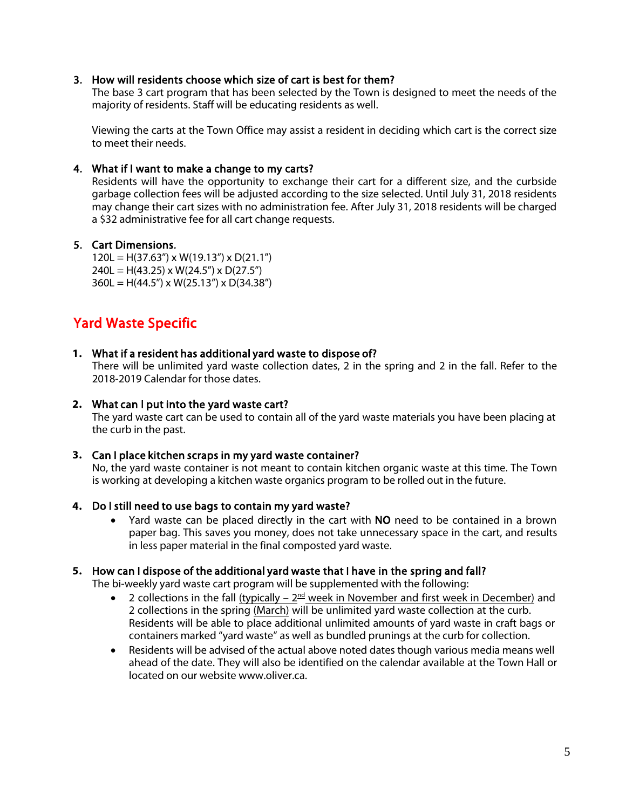#### 3. How will residents choose which size of cart is best for them?

The base 3 cart program that has been selected by the Town is designed to meet the needs of the majority of residents. Staff will be educating residents as well.

Viewing the carts at the Town Office may assist a resident in deciding which cart is the correct size to meet their needs.

#### 4. What if I want to make a change to my carts?

Residents will have the opportunity to exchange their cart for a different size, and the curbside garbage collection fees will be adjusted according to the size selected. Until July 31, 2018 residents may change their cart sizes with no administration fee. After July 31, 2018 residents will be charged a \$32 administrative fee for all cart change requests.

#### 5. Cart Dimensions.

 $120L = H(37.63'') \times W(19.13'') \times D(21.1'')$  $240L = H(43.25) \times W(24.5'') \times D(27.5'')$  $360L = H(44.5") \times W(25.13") \times D(34.38")$ 

## Yard Waste Specific

#### **1.** What if a resident has additional yard waste to dispose of?

There will be unlimited yard waste collection dates, 2 in the spring and 2 in the fall. Refer to the 2018-2019 Calendar for those dates.

#### **2.** What can I put into the yard waste cart?

The yard waste cart can be used to contain all of the yard waste materials you have been placing at the curb in the past.

#### **3.** Can I place kitchen scraps in my yard waste container?

No, the yard waste container is not meant to contain kitchen organic waste at this time. The Town is working at developing a kitchen waste organics program to be rolled out in the future.

#### **4.** Do I still need to use bags to contain my yard waste?

• Yard waste can be placed directly in the cart with NO need to be contained in a brown paper bag. This saves you money, does not take unnecessary space in the cart, and results in less paper material in the final composted yard waste.

#### **5.** How can I dispose of the additional yard waste that I have in the spring and fall?

The bi-weekly yard waste cart program will be supplemented with the following:

- 2 collections in the fall (typically  $-2^{\text{nd}}$  week in November and first week in December) and 2 collections in the spring (March) will be unlimited yard waste collection at the curb. Residents will be able to place additional unlimited amounts of yard waste in craft bags or containers marked "yard waste" as well as bundled prunings at the curb for collection.
- Residents will be advised of the actual above noted dates though various media means well ahead of the date. They will also be identified on the calendar available at the Town Hall or located on our website www.oliver.ca.